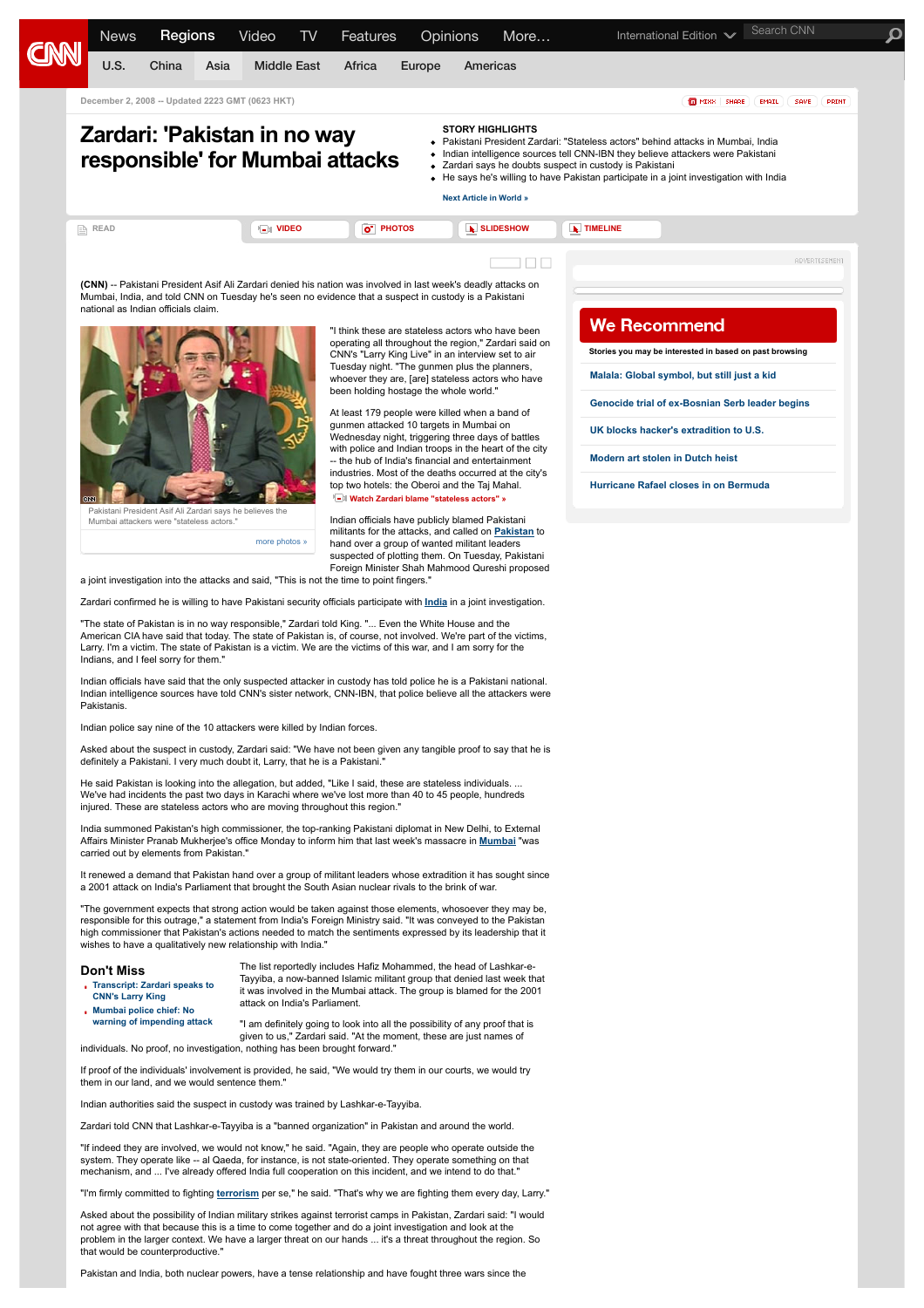

It renewed a demand that Pakistan hand over a group of militant leaders whose extradition it has sought since a 2001 attack on India's Parliament that brought the South Asian nuclear rivals to the brink of war.

"The government expects that strong action would be taken against those elements, whosoever they may be, responsible for this outrage," a statement from India's Foreign Ministry said. "It was conveyed to the Pakistan high commissioner that Pakistan's actions needed to match the sentiments expressed by its leadership that it wishes to have a qualitatively new relationship with India."

## **Don't Miss**

- **[Transcript: Zardari speaks to](http://edition.cnn.com/2008/WORLD/asiapcf/12/02/larry.king.zardari.transcript/index.html) CNN's Larry King**
- **Mumbai police chief: No [warning of impending attack](http://edition.cnn.com/2008/WORLD/asiapcf/12/02/mumbai.warning/index.html)**

The list reportedly includes Hafiz Mohammed, the head of Lashkar-e-Tayyiba, a now-banned Islamic militant group that denied last week that it was involved in the Mumbai attack. The group is blamed for the 2001 attack on India's Parliament.

"I am definitely going to look into all the possibility of any proof that is given to us," Zardari said. "At the moment, these are just names of individuals. No proof, no investigation, nothing has been brought forward."

If proof of the individuals' involvement is provided, he said, "We would try them in our courts, we would try them in our land, and we would sentence them.

Indian authorities said the suspect in custody was trained by Lashkar-e-Tayyiba.

Zardari told CNN that Lashkar-e-Tayyiba is a "banned organization" in Pakistan and around the world.

"If indeed they are involved, we would not know," he said. "Again, they are people who operate outside the system. They operate like -- al Qaeda, for instance, is not state-oriented. They operate something on that mechanism, and ... I've already offered India full cooperation on this incident, and we intend to do that."

m firmly committed to fighting [terrorism](http://edition.cnn.com/topics/Terrorism) per se," he said. "That's why we are fighting them every day, Larry."

Asked about the possibility of Indian military strikes against terrorist camps in Pakistan, Zardari said: "I would not agree with that because this is a time to come together and do a joint investigation and look at the problem in the larger context. We have a larger threat on our hands ... it's a threat throughout the region. So that would be counterproductive.

Pakistan and India, both nuclear powers, have a tense relationship and have fought three wars since the